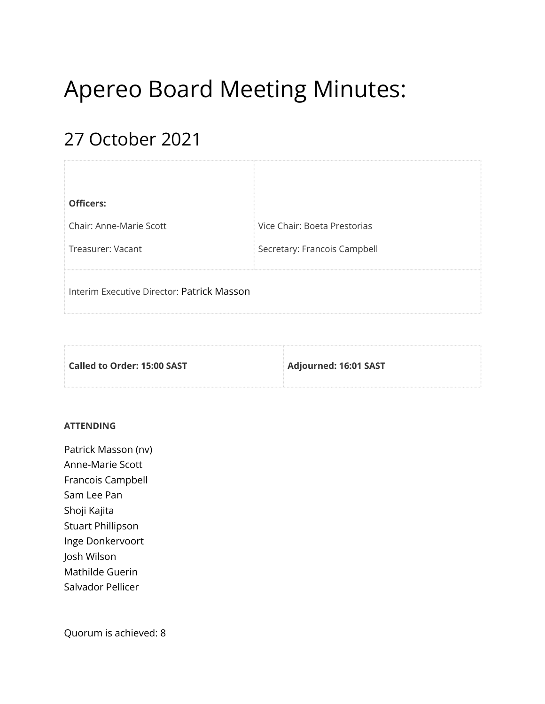# Apereo Board Meeting Minutes:

# 27 October 2021

| <b>Officers:</b>                           |                              |
|--------------------------------------------|------------------------------|
| Chair: Anne-Marie Scott                    | Vice Chair: Boeta Prestorias |
| Treasurer: Vacant                          | Secretary: Francois Campbell |
| Interim Executive Director: Patrick Masson |                              |

| Called to Order: 15:00 SAST | Adjourned: 16:01 SAST |
|-----------------------------|-----------------------|
|                             |                       |

#### **ATTENDING**

Patrick Masson (nv) Anne-Marie Scott Francois Campbell Sam Lee Pan Shoji Kajita Stuart Phillipson Inge Donkervoort Josh Wilson Mathilde Guerin Salvador Pellicer

Quorum is achieved: 8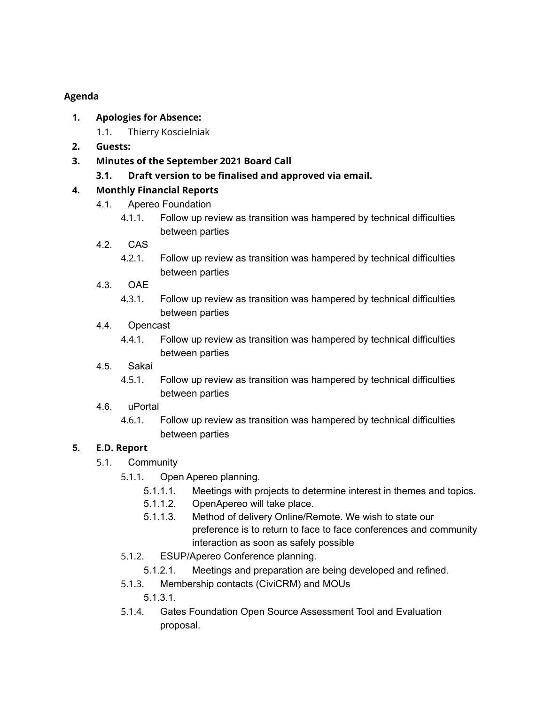### **Agenda**

- **1. Apologies for Absence:**
	- 1.1. Thierry Koscielniak
- **2. Guests:**
- **3. Minutes of the September 2021 Board Call**
	- **3.1. Draft version to be finalised and approved via email.**

# **4. Monthly Financial Reports**

- 4.1. Apereo Foundation
	- 4.1.1. Follow up review as transition was hampered by technical difficulties between parties
- 4.2. CAS
	- 4.2.1. Follow up review as transition was hampered by technical difficulties between parties
- 4.3. OAE
	- 4.3.1. Follow up review as transition was hampered by technical difficulties between parties
- 4.4. Opencast
	- 4.4.1. Follow up review as transition was hampered by technical difficulties between parties
- 4.5. Sakai
	- 4.5.1. Follow up review as transition was hampered by technical difficulties between parties
- 4.6. uPortal
	- 4.6.1. Follow up review as transition was hampered by technical difficulties between parties

# **5. E.D. Report**

- 5.1. Community
	- 5.1.1. Open Apereo planning.
		- 5.1.1.1. Meetings with projects to determine interest in themes and topics.
		- 5.1.1.2. OpenApereo will take place.
		- 5.1.1.3. Method of delivery Online/Remote. We wish to state our preference is to return to face to face conferences and community interaction as soon as safely possible
	- 5.1.2. ESUP/Apereo Conference planning.
		- 5.1.2.1. Meetings and preparation are being developed and refined.
	- 5.1.3. Membership contacts (CiviCRM) and MOUs

5.1.3.1.

5.1.4. Gates Foundation Open Source Assessment Tool and Evaluation proposal.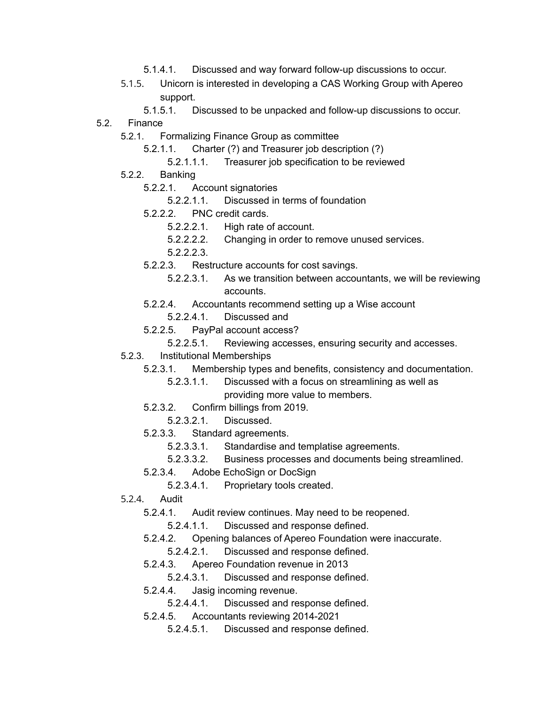- 5.1.4.1. Discussed and way forward follow-up discussions to occur.
- 5.1.5. Unicorn is interested in developing a CAS Working Group with Apereo support.
	- 5.1.5.1. Discussed to be unpacked and follow-up discussions to occur.
- 5.2. Finance
	- 5.2.1. Formalizing Finance Group as committee
		- 5.2.1.1. Charter (?) and Treasurer job description (?)
			- 5.2.1.1.1. Treasurer job specification to be reviewed
	- 5.2.2. Banking
		- 5.2.2.1. Account signatories
			- 5.2.2.1.1. Discussed in terms of foundation
		- 5.2.2.2. PNC credit cards.
			- 5.2.2.2.1. High rate of account.
			- 5.2.2.2.2. Changing in order to remove unused services.
			- 5.2.2.2.3.
		- 5.2.2.3. Restructure accounts for cost savings.
			- 5.2.2.3.1. As we transition between accountants, we will be reviewing accounts.
		- 5.2.2.4. Accountants recommend setting up a Wise account
			- 5.2.2.4.1. Discussed and
		- 5.2.2.5. PayPal account access?
			- 5.2.2.5.1. Reviewing accesses, ensuring security and accesses.
	- 5.2.3. Institutional Memberships
		- 5.2.3.1. Membership types and benefits, consistency and documentation.
			- 5.2.3.1.1. Discussed with a focus on streamlining as well as providing more value to members.
		- 5.2.3.2. Confirm billings from 2019.
			- 5.2.3.2.1. Discussed.
		- 5.2.3.3. Standard agreements.
			- 5.2.3.3.1. Standardise and templatise agreements.
			- 5.2.3.3.2. Business processes and documents being streamlined.
		- 5.2.3.4. Adobe EchoSign or DocSign
			- 5.2.3.4.1. Proprietary tools created.
	- 5.2.4. Audit
		- 5.2.4.1. Audit review continues. May need to be reopened.
			- 5.2.4.1.1. Discussed and response defined.
		- 5.2.4.2. Opening balances of Apereo Foundation were inaccurate.
			- 5.2.4.2.1. Discussed and response defined.
		- 5.2.4.3. Apereo Foundation revenue in 2013
			- 5.2.4.3.1. Discussed and response defined.
		- 5.2.4.4. Jasig incoming revenue.
			- 5.2.4.4.1. Discussed and response defined.
		- 5.2.4.5. Accountants reviewing 2014-2021
			- 5.2.4.5.1. Discussed and response defined.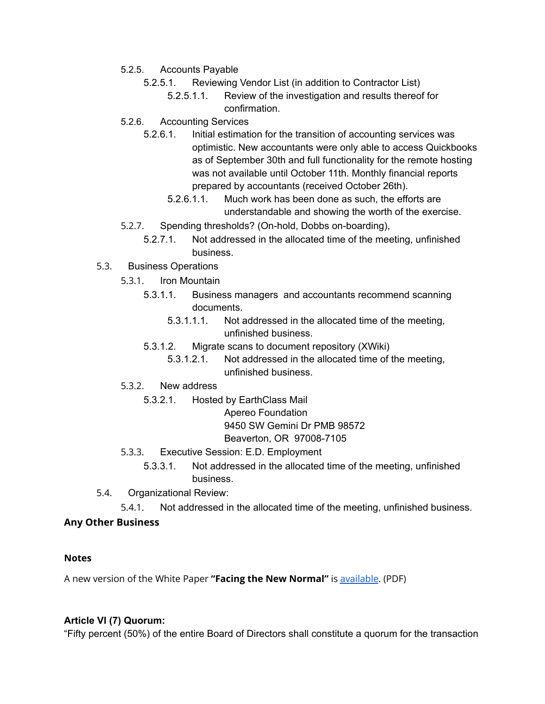- 5.2.5. Accounts Payable
	- 5.2.5.1. Reviewing Vendor List (in addition to Contractor List)
		- 5.2.5.1.1. Review of the investigation and results thereof for confirmation.
- 5.2.6. Accounting Services
	- 5.2.6.1. Initial estimation for the transition of accounting services was optimistic. New accountants were only able to access Quickbooks as of September 30th and full functionality for the remote hosting was not available until October 11th. Monthly financial reports prepared by accountants (received October 26th).
		- 5.2.6.1.1. Much work has been done as such, the efforts are understandable and showing the worth of the exercise.
- 5.2.7. Spending thresholds? (On-hold, Dobbs on-boarding),
	- 5.2.7.1. Not addressed in the allocated time of the meeting, unfinished business.
- 5.3. Business Operations
	- 5.3.1. Iron Mountain
		- 5.3.1.1. Business managers and accountants recommend scanning documents.
			- 5.3.1.1.1. Not addressed in the allocated time of the meeting, unfinished business.
		- 5.3.1.2. Migrate scans to document repository (XWiki)
			- 5.3.1.2.1. Not addressed in the allocated time of the meeting, unfinished business.
	- 5.3.2. New address
		- 5.3.2.1. Hosted by EarthClass Mail
			- Apereo Foundation

9450 SW Gemini Dr PMB 98572

Beaverton, OR 97008-7105

- 5.3.3. Executive Session: E.D. Employment
	- 5.3.3.1. Not addressed in the allocated time of the meeting, unfinished business.
- 5.4. Organizational Review:
	- 5.4.1. Not addressed in the allocated time of the meeting, unfinished business.

#### **Any Other Business**

#### **Notes**

A new version of the White Paper **"Facing the New Normal"** is [available](https://drive.google.com/file/d/16cbpsys3_JynbudLGczmXSpNDKsQTVUC/view?usp=sharing). (PDF)

#### **Article VI (7) Quorum:**

"Fifty percent (50%) of the entire Board of Directors shall constitute a quorum for the transaction